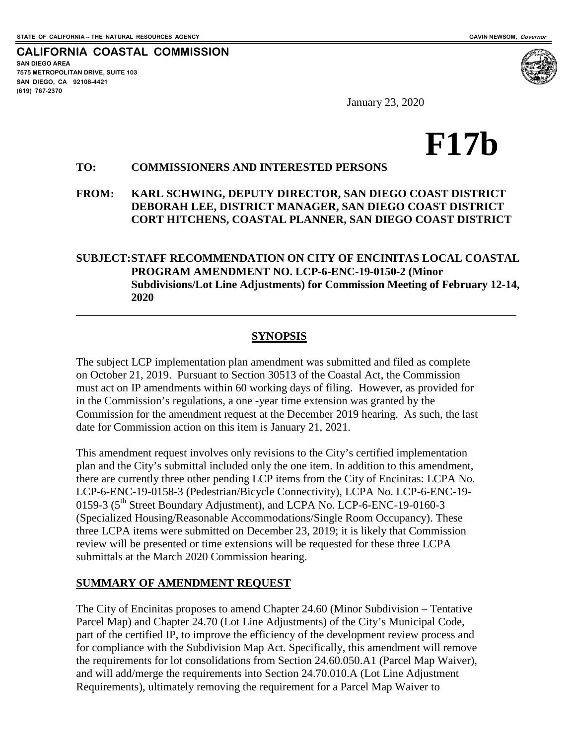**SAN DIEGO AREA**

**(619) 767-2370**

**7575 METROPOLITAN DRIVE, SUITE 103 SAN DIEGO, CA 92108-4421**

 $\overline{a}$ 

**CALIFORNIA COASTAL COMMISSION**

January 23, 2020

# **F17b**

#### **TO: COMMISSIONERS AND INTERESTED PERSONS**

**FROM: KARL SCHWING, DEPUTY DIRECTOR, SAN DIEGO COAST DISTRICT DEBORAH LEE, DISTRICT MANAGER, SAN DIEGO COAST DISTRICT CORT HITCHENS, COASTAL PLANNER, SAN DIEGO COAST DISTRICT**

#### **SUBJECT:STAFF RECOMMENDATION ON CITY OF ENCINITAS LOCAL COASTAL PROGRAM AMENDMENT NO. LCP-6-ENC-19-0150-2 (Minor Subdivisions/Lot Line Adjustments) for Commission Meeting of February 12-14, 2020**

#### **SYNOPSIS**

The subject LCP implementation plan amendment was submitted and filed as complete on October 21, 2019. Pursuant to Section 30513 of the Coastal Act, the Commission must act on IP amendments within 60 working days of filing. However, as provided for in the Commission's regulations, a one -year time extension was granted by the Commission for the amendment request at the December 2019 hearing. As such, the last date for Commission action on this item is January 21, 2021.

This amendment request involves only revisions to the City's certified implementation plan and the City's submittal included only the one item. In addition to this amendment, there are currently three other pending LCP items from the City of Encinitas: LCPA No. LCP-6-ENC-19-0158-3 (Pedestrian/Bicycle Connectivity), LCPA No. LCP-6-ENC-19- 0159-3 (5<sup>th</sup> Street Boundary Adjustment), and LCPA No. LCP-6-ENC-19-0160-3 (Specialized Housing/Reasonable Accommodations/Single Room Occupancy). These three LCPA items were submitted on December 23, 2019; it is likely that Commission review will be presented or time extensions will be requested for these three LCPA submittals at the March 2020 Commission hearing.

#### **SUMMARY OF AMENDMENT REQUEST**

The City of Encinitas proposes to amend Chapter 24.60 (Minor Subdivision – Tentative Parcel Map) and Chapter 24.70 (Lot Line Adjustments) of the City's Municipal Code, part of the certified IP, to improve the efficiency of the development review process and for compliance with the Subdivision Map Act. Specifically, this amendment will remove the requirements for lot consolidations from Section 24.60.050.A1 (Parcel Map Waiver), and will add/merge the requirements into Section 24.70.010.A (Lot Line Adjustment Requirements), ultimately removing the requirement for a Parcel Map Waiver to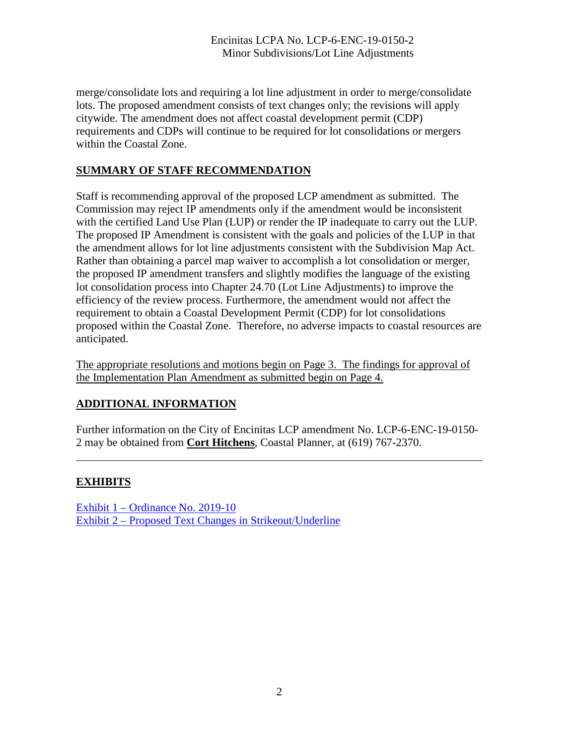merge/consolidate lots and requiring a lot line adjustment in order to merge/consolidate lots. The proposed amendment consists of text changes only; the revisions will apply citywide. The amendment does not affect coastal development permit (CDP) requirements and CDPs will continue to be required for lot consolidations or mergers within the Coastal Zone.

### **SUMMARY OF STAFF RECOMMENDATION**

Staff is recommending approval of the proposed LCP amendment as submitted. The Commission may reject IP amendments only if the amendment would be inconsistent with the certified Land Use Plan (LUP) or render the IP inadequate to carry out the LUP. The proposed IP Amendment is consistent with the goals and policies of the LUP in that the amendment allows for lot line adjustments consistent with the Subdivision Map Act. Rather than obtaining a parcel map waiver to accomplish a lot consolidation or merger, the proposed IP amendment transfers and slightly modifies the language of the existing lot consolidation process into Chapter 24.70 (Lot Line Adjustments) to improve the efficiency of the review process. Furthermore, the amendment would not affect the requirement to obtain a Coastal Development Permit (CDP) for lot consolidations proposed within the Coastal Zone. Therefore, no adverse impacts to coastal resources are anticipated.

The appropriate resolutions and motions begin on Page 3. The findings for approval of the Implementation Plan Amendment as submitted begin on Page 4.

## **ADDITIONAL INFORMATION**

Further information on the City of Encinitas LCP amendment No. LCP-6-ENC-19-0150- 2 may be obtained from **Cort Hitchens**, Coastal Planner, at (619) 767-2370.

## **EXHIBITS**

 $\overline{a}$ 

[Exhibit 1 – Ordinance No. 2019-10](https://documents.coastal.ca.gov/reports/2020/2/f17b/f17b-2-2020-exhibits.pdf) [Exhibit 2 – Proposed Text Changes in Strikeout/Underline](https://documents.coastal.ca.gov/reports/2020/2/f17b/f17b-2-2020-exhibits.pdf)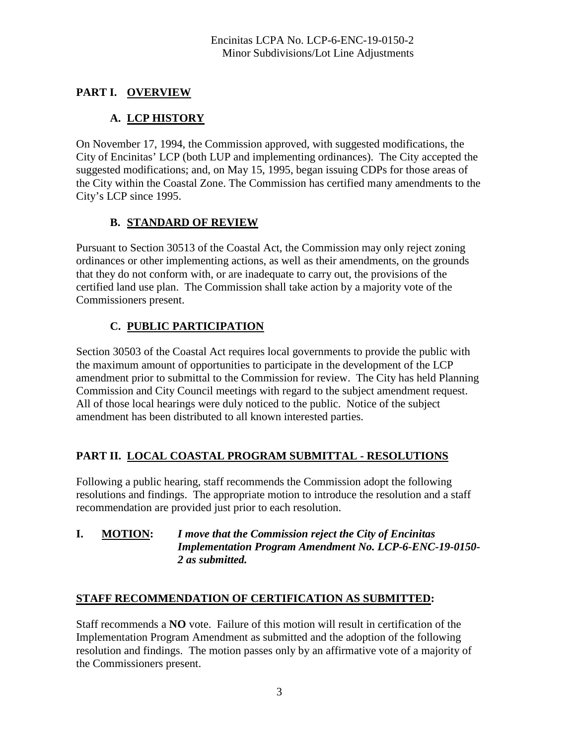# **PART I. OVERVIEW**

# **A. LCP HISTORY**

On November 17, 1994, the Commission approved, with suggested modifications, the City of Encinitas' LCP (both LUP and implementing ordinances). The City accepted the suggested modifications; and, on May 15, 1995, began issuing CDPs for those areas of the City within the Coastal Zone. The Commission has certified many amendments to the City's LCP since 1995.

## **B. STANDARD OF REVIEW**

Pursuant to Section 30513 of the Coastal Act, the Commission may only reject zoning ordinances or other implementing actions, as well as their amendments, on the grounds that they do not conform with, or are inadequate to carry out, the provisions of the certified land use plan. The Commission shall take action by a majority vote of the Commissioners present.

# **C. PUBLIC PARTICIPATION**

Section 30503 of the Coastal Act requires local governments to provide the public with the maximum amount of opportunities to participate in the development of the LCP amendment prior to submittal to the Commission for review. The City has held Planning Commission and City Council meetings with regard to the subject amendment request. All of those local hearings were duly noticed to the public. Notice of the subject amendment has been distributed to all known interested parties.

## **PART II. LOCAL COASTAL PROGRAM SUBMITTAL - RESOLUTIONS**

Following a public hearing, staff recommends the Commission adopt the following resolutions and findings. The appropriate motion to introduce the resolution and a staff recommendation are provided just prior to each resolution.

#### **I. MOTION:** *I move that the Commission reject the City of Encinitas Implementation Program Amendment No. LCP-6-ENC-19-0150- 2 as submitted.*

#### **STAFF RECOMMENDATION OF CERTIFICATION AS SUBMITTED:**

Staff recommends a **NO** vote. Failure of this motion will result in certification of the Implementation Program Amendment as submitted and the adoption of the following resolution and findings. The motion passes only by an affirmative vote of a majority of the Commissioners present.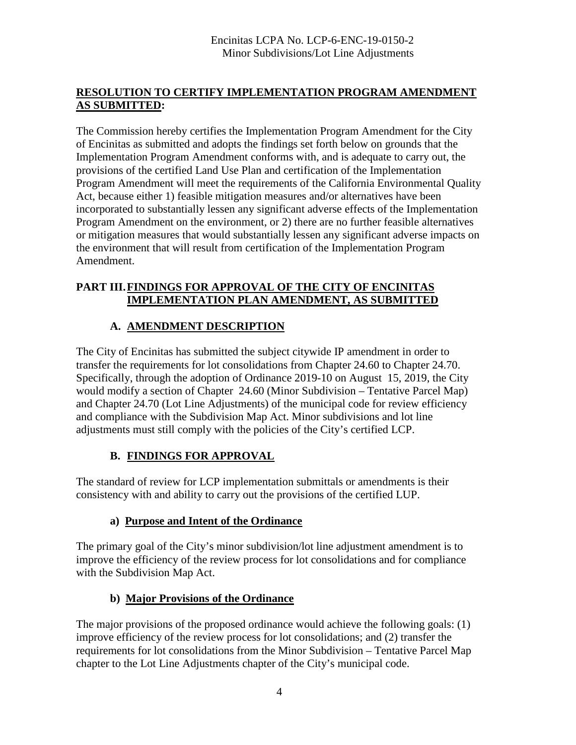## **RESOLUTION TO CERTIFY IMPLEMENTATION PROGRAM AMENDMENT AS SUBMITTED:**

The Commission hereby certifies the Implementation Program Amendment for the City of Encinitas as submitted and adopts the findings set forth below on grounds that the Implementation Program Amendment conforms with, and is adequate to carry out, the provisions of the certified Land Use Plan and certification of the Implementation Program Amendment will meet the requirements of the California Environmental Quality Act, because either 1) feasible mitigation measures and/or alternatives have been incorporated to substantially lessen any significant adverse effects of the Implementation Program Amendment on the environment, or 2) there are no further feasible alternatives or mitigation measures that would substantially lessen any significant adverse impacts on the environment that will result from certification of the Implementation Program Amendment.

## **PART III.FINDINGS FOR APPROVAL OF THE CITY OF ENCINITAS IMPLEMENTATION PLAN AMENDMENT, AS SUBMITTED**

# **A. AMENDMENT DESCRIPTION**

The City of Encinitas has submitted the subject citywide IP amendment in order to transfer the requirements for lot consolidations from Chapter 24.60 to Chapter 24.70. Specifically, through the adoption of Ordinance 2019-10 on August 15, 2019, the City would modify a section of Chapter 24.60 (Minor Subdivision – Tentative Parcel Map) and Chapter 24.70 (Lot Line Adjustments) of the municipal code for review efficiency and compliance with the Subdivision Map Act. Minor subdivisions and lot line adjustments must still comply with the policies of the City's certified LCP.

## **B. FINDINGS FOR APPROVAL**

The standard of review for LCP implementation submittals or amendments is their consistency with and ability to carry out the provisions of the certified LUP.

## **a) Purpose and Intent of the Ordinance**

The primary goal of the City's minor subdivision/lot line adjustment amendment is to improve the efficiency of the review process for lot consolidations and for compliance with the Subdivision Map Act.

## **b) Major Provisions of the Ordinance**

The major provisions of the proposed ordinance would achieve the following goals: (1) improve efficiency of the review process for lot consolidations; and (2) transfer the requirements for lot consolidations from the Minor Subdivision – Tentative Parcel Map chapter to the Lot Line Adjustments chapter of the City's municipal code.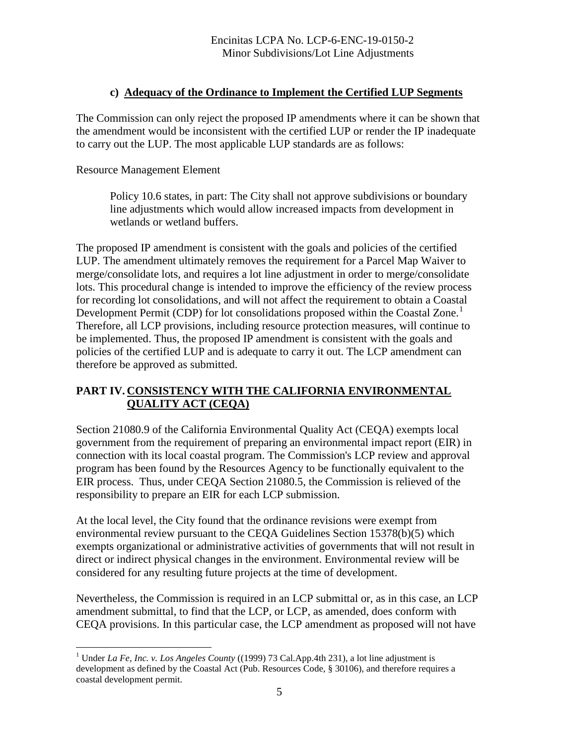#### **c) Adequacy of the Ordinance to Implement the Certified LUP Segments**

The Commission can only reject the proposed IP amendments where it can be shown that the amendment would be inconsistent with the certified LUP or render the IP inadequate to carry out the LUP. The most applicable LUP standards are as follows:

#### Resource Management Element

 Policy 10.6 states, in part: The City shall not approve subdivisions or boundary line adjustments which would allow increased impacts from development in wetlands or wetland buffers.

The proposed IP amendment is consistent with the goals and policies of the certified LUP. The amendment ultimately removes the requirement for a Parcel Map Waiver to merge/consolidate lots, and requires a lot line adjustment in order to merge/consolidate lots. This procedural change is intended to improve the efficiency of the review process for recording lot consolidations, and will not affect the requirement to obtain a Coastal Development Permit (CDP) for lot consolidations proposed within the Coastal Zone.<sup>[1](#page-4-0)</sup> Therefore, all LCP provisions, including resource protection measures, will continue to be implemented. Thus, the proposed IP amendment is consistent with the goals and policies of the certified LUP and is adequate to carry it out. The LCP amendment can therefore be approved as submitted.

## **PART IV. CONSISTENCY WITH THE CALIFORNIA ENVIRONMENTAL QUALITY ACT (CEQA)**

Section 21080.9 of the California Environmental Quality Act (CEQA) exempts local government from the requirement of preparing an environmental impact report (EIR) in connection with its local coastal program. The Commission's LCP review and approval program has been found by the Resources Agency to be functionally equivalent to the EIR process. Thus, under CEQA Section 21080.5, the Commission is relieved of the responsibility to prepare an EIR for each LCP submission.

At the local level, the City found that the ordinance revisions were exempt from environmental review pursuant to the CEQA Guidelines Section 15378(b)(5) which exempts organizational or administrative activities of governments that will not result in direct or indirect physical changes in the environment. Environmental review will be considered for any resulting future projects at the time of development.

Nevertheless, the Commission is required in an LCP submittal or, as in this case, an LCP amendment submittal, to find that the LCP, or LCP, as amended, does conform with CEQA provisions. In this particular case, the LCP amendment as proposed will not have

<span id="page-4-0"></span> $\overline{a}$ <sup>1</sup> Under *La Fe, Inc. v. Los Angeles County* ((1999) 73 Cal.App.4th 231), a lot line adjustment is development as defined by the Coastal Act (Pub. Resources Code, § 30106), and therefore requires a coastal development permit.